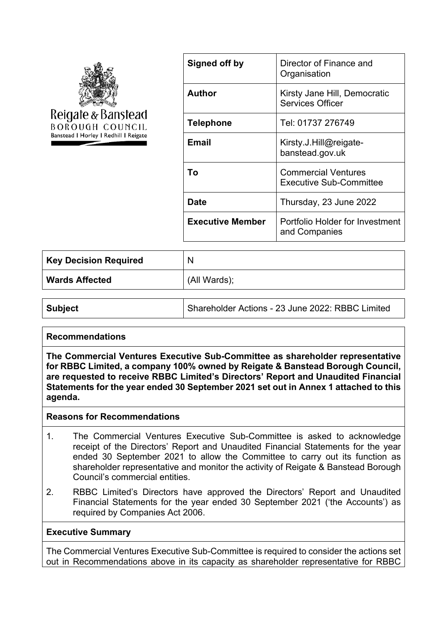

| Signed off by           | Director of Finance and<br>Organisation                      |
|-------------------------|--------------------------------------------------------------|
| Author                  | Kirsty Jane Hill, Democratic<br><b>Services Officer</b>      |
| <b>Telephone</b>        | Tel: 01737 276749                                            |
| Email                   | Kirsty.J.Hill@reigate-<br>banstead.gov.uk                    |
| Тο                      | <b>Commercial Ventures</b><br><b>Executive Sub-Committee</b> |
| Date                    | Thursday, 23 June 2022                                       |
| <b>Executive Member</b> | Portfolio Holder for Investment<br>and Companies             |

| <b>Key Decision Required</b> | N            |
|------------------------------|--------------|
| Wards Affected               | (All Wards); |

| <b>Subject</b> | Shareholder Actions - 23 June 2022: RBBC Limited |
|----------------|--------------------------------------------------|
|                |                                                  |

# **Recommendations**

**The Commercial Ventures Executive Sub-Committee as shareholder representative for RBBC Limited, a company 100% owned by Reigate & Banstead Borough Council, are requested to receive RBBC Limited's Directors' Report and Unaudited Financial Statements for the year ended 30 September 2021 set out in Annex 1 attached to this agenda.**

#### **Reasons for Recommendations**

- 1. The Commercial Ventures Executive Sub-Committee is asked to acknowledge receipt of the Directors' Report and Unaudited Financial Statements for the year ended 30 September 2021 to allow the Committee to carry out its function as shareholder representative and monitor the activity of Reigate & Banstead Borough Council's commercial entities.
- 2. RBBC Limited's Directors have approved the Directors' Report and Unaudited Financial Statements for the year ended 30 September 2021 ('the Accounts') as required by Companies Act 2006.

#### **Executive Summary**

The Commercial Ventures Executive Sub-Committee is required to consider the actions set out in Recommendations above in its capacity as shareholder representative for RBBC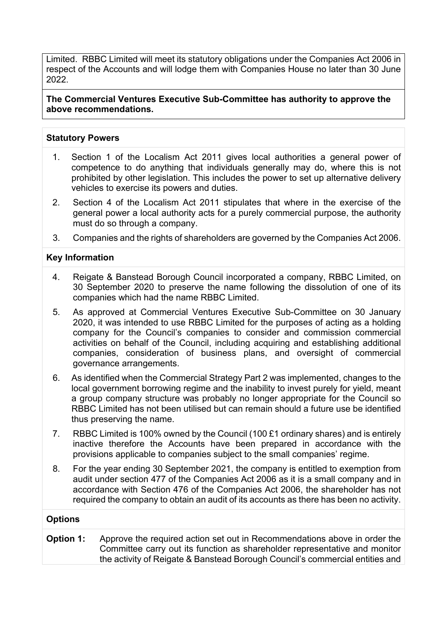Limited. RBBC Limited will meet its statutory obligations under the Companies Act 2006 in respect of the Accounts and will lodge them with Companies House no later than 30 June 2022.

**The Commercial Ventures Executive Sub-Committee has authority to approve the above recommendations.**

#### **Statutory Powers**

- 1. Section 1 of the Localism Act 2011 gives local authorities a general power of competence to do anything that individuals generally may do, where this is not prohibited by other legislation. This includes the power to set up alternative delivery vehicles to exercise its powers and duties.
- 2. Section 4 of the Localism Act 2011 stipulates that where in the exercise of the general power a local authority acts for a purely commercial purpose, the authority must do so through a company.
- 3. Companies and the rights of shareholders are governed by the Companies Act 2006.

#### **Key Information**

- 4. Reigate & Banstead Borough Council incorporated a company, RBBC Limited, on 30 September 2020 to preserve the name following the dissolution of one of its companies which had the name RBBC Limited.
- 5. As approved at Commercial Ventures Executive Sub-Committee on 30 January 2020, it was intended to use RBBC Limited for the purposes of acting as a holding company for the Council's companies to consider and commission commercial activities on behalf of the Council, including acquiring and establishing additional companies, consideration of business plans, and oversight of commercial governance arrangements.
- 6. As identified when the Commercial Strategy Part 2 was implemented, changes to the local government borrowing regime and the inability to invest purely for yield, meant a group company structure was probably no longer appropriate for the Council so RBBC Limited has not been utilised but can remain should a future use be identified thus preserving the name.
- 7. RBBC Limited is 100% owned by the Council (100  $£1$  ordinary shares) and is entirely inactive therefore the Accounts have been prepared in accordance with the provisions applicable to companies subject to the small companies' regime.
- 8. For the year ending 30 September 2021, the company is entitled to exemption from audit under section 477 of the Companies Act 2006 as it is a small company and in accordance with Section 476 of the Companies Act 2006, the shareholder has not required the company to obtain an audit of its accounts as there has been no activity.

# **Options**

**Option 1:** Approve the required action set out in Recommendations above in order the Committee carry out its function as shareholder representative and monitor the activity of Reigate & Banstead Borough Council's commercial entities and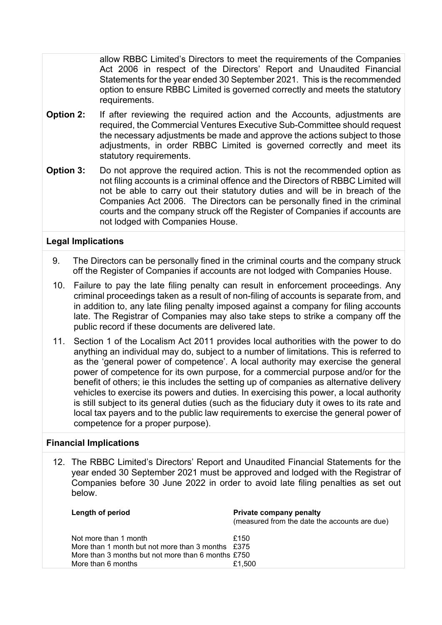allow RBBC Limited's Directors to meet the requirements of the Companies Act 2006 in respect of the Directors' Report and Unaudited Financial Statements for the year ended 30 September 2021. This is the recommended option to ensure RBBC Limited is governed correctly and meets the statutory requirements.

- **Option 2:** If after reviewing the required action and the Accounts, adjustments are required, the Commercial Ventures Executive Sub-Committee should request the necessary adjustments be made and approve the actions subject to those adjustments, in order RBBC Limited is governed correctly and meet its statutory requirements.
- **Option 3:** Do not approve the required action. This is not the recommended option as not filing accounts is a criminal offence and the Directors of RBBC Limited will not be able to carry out their statutory duties and will be in breach of the Companies Act 2006. The Directors can be personally fined in the criminal courts and the company struck off the Register of Companies if accounts are not lodged with Companies House.

#### **Legal Implications**

- 9. The Directors can be personally fined in the criminal courts and the company struck off the Register of Companies if accounts are not lodged with Companies House.
- 10. Failure to pay the late filing penalty can result in enforcement proceedings. Any criminal proceedings taken as a result of non-filing of accounts is separate from, and in addition to, any late filing penalty imposed against a company for filing accounts late. The Registrar of Companies may also take steps to strike a company off the public record if these documents are delivered late.
- 11. Section 1 of the Localism Act 2011 provides local authorities with the power to do anything an individual may do, subject to a number of limitations. This is referred to as the 'general power of competence'. A local authority may exercise the general power of competence for its own purpose, for a commercial purpose and/or for the benefit of others; ie this includes the setting up of companies as alternative delivery vehicles to exercise its powers and duties. In exercising this power, a local authority is still subject to its general duties (such as the fiduciary duty it owes to its rate and local tax payers and to the public law requirements to exercise the general power of competence for a proper purpose).

# **Financial Implications**

12. The RBBC Limited's Directors' Report and Unaudited Financial Statements for the year ended 30 September 2021 must be approved and lodged with the Registrar of Companies before 30 June 2022 in order to avoid late filing penalties as set out below.

| Length of period                                                                                                                                         | <b>Private company penalty</b><br>(measured from the date the accounts are due) |
|----------------------------------------------------------------------------------------------------------------------------------------------------------|---------------------------------------------------------------------------------|
| Not more than 1 month<br>More than 1 month but not more than 3 months $£375$<br>More than 3 months but not more than 6 months £750<br>More than 6 months | £150<br>£1.500                                                                  |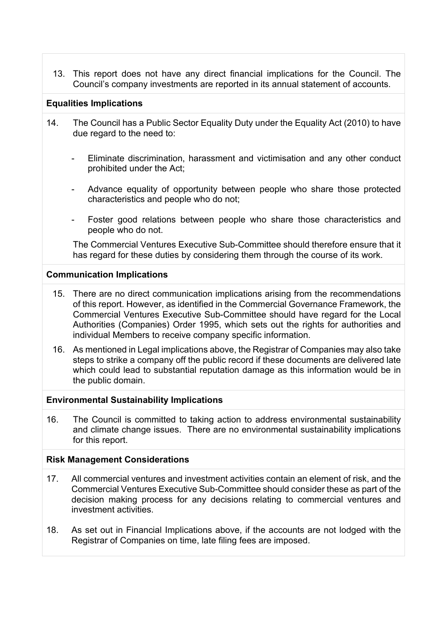13. This report does not have any direct financial implications for the Council. The Council's company investments are reported in its annual statement of accounts.

# **Equalities Implications**

- 14. The Council has a Public Sector Equality Duty under the Equality Act (2010) to have due regard to the need to:
	- Eliminate discrimination, harassment and victimisation and any other conduct prohibited under the Act;
	- Advance equality of opportunity between people who share those protected characteristics and people who do not;
	- Foster good relations between people who share those characteristics and people who do not.

The Commercial Ventures Executive Sub-Committee should therefore ensure that it has regard for these duties by considering them through the course of its work.

#### **Communication Implications**

- 15. There are no direct communication implications arising from the recommendations of this report. However, as identified in the Commercial Governance Framework, the Commercial Ventures Executive Sub-Committee should have regard for the Local Authorities (Companies) Order 1995, which sets out the rights for authorities and individual Members to receive company specific information.
- 16. As mentioned in Legal implications above, the Registrar of Companies may also take steps to strike a company off the public record if these documents are delivered late which could lead to substantial reputation damage as this information would be in the public domain.

# **Environmental Sustainability Implications**

16. The Council is committed to taking action to address environmental sustainability and climate change issues. There are no environmental sustainability implications for this report.

#### **Risk Management Considerations**

- 17. All commercial ventures and investment activities contain an element of risk, and the Commercial Ventures Executive Sub-Committee should consider these as part of the decision making process for any decisions relating to commercial ventures and investment activities.
- 18. As set out in Financial Implications above, if the accounts are not lodged with the Registrar of Companies on time, late filing fees are imposed.